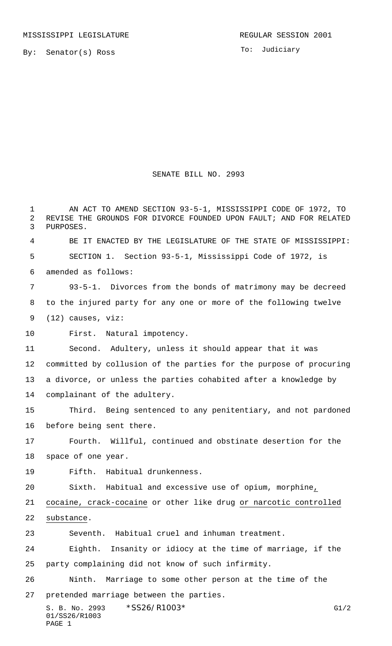By: Senator(s) Ross

01/SS26/R1003

PAGE 1

To: Judiciary

## SENATE BILL NO. 2993

S. B. No. 2993 \* SS26/R1003\* G1/2 AN ACT TO AMEND SECTION 93-5-1, MISSISSIPPI CODE OF 1972, TO REVISE THE GROUNDS FOR DIVORCE FOUNDED UPON FAULT; AND FOR RELATED PURPOSES. BE IT ENACTED BY THE LEGISLATURE OF THE STATE OF MISSISSIPPI: SECTION 1. Section 93-5-1, Mississippi Code of 1972, is amended as follows: 93-5-1. Divorces from the bonds of matrimony may be decreed to the injured party for any one or more of the following twelve (12) causes, viz: First. Natural impotency. Second. Adultery, unless it should appear that it was committed by collusion of the parties for the purpose of procuring a divorce, or unless the parties cohabited after a knowledge by complainant of the adultery. Third. Being sentenced to any penitentiary, and not pardoned before being sent there. Fourth. Willful, continued and obstinate desertion for the space of one year. Fifth. Habitual drunkenness. Sixth. Habitual and excessive use of opium, morphine, cocaine, crack-cocaine or other like drug or narcotic controlled substance. Seventh. Habitual cruel and inhuman treatment. Eighth. Insanity or idiocy at the time of marriage, if the party complaining did not know of such infirmity. Ninth. Marriage to some other person at the time of the pretended marriage between the parties.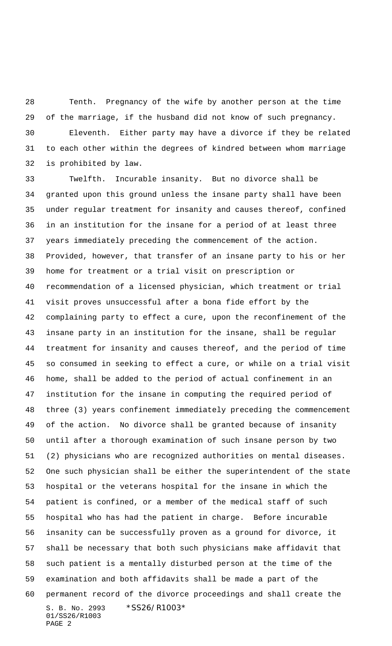Tenth. Pregnancy of the wife by another person at the time of the marriage, if the husband did not know of such pregnancy. Eleventh. Either party may have a divorce if they be related to each other within the degrees of kindred between whom marriage is prohibited by law.

S. B. No. 2993 \*SS26/R1003\* 01/SS26/R1003 PAGE 2 Twelfth. Incurable insanity. But no divorce shall be granted upon this ground unless the insane party shall have been under regular treatment for insanity and causes thereof, confined in an institution for the insane for a period of at least three years immediately preceding the commencement of the action. Provided, however, that transfer of an insane party to his or her home for treatment or a trial visit on prescription or recommendation of a licensed physician, which treatment or trial visit proves unsuccessful after a bona fide effort by the complaining party to effect a cure, upon the reconfinement of the insane party in an institution for the insane, shall be regular treatment for insanity and causes thereof, and the period of time so consumed in seeking to effect a cure, or while on a trial visit home, shall be added to the period of actual confinement in an institution for the insane in computing the required period of three (3) years confinement immediately preceding the commencement of the action. No divorce shall be granted because of insanity until after a thorough examination of such insane person by two (2) physicians who are recognized authorities on mental diseases. One such physician shall be either the superintendent of the state hospital or the veterans hospital for the insane in which the patient is confined, or a member of the medical staff of such hospital who has had the patient in charge. Before incurable insanity can be successfully proven as a ground for divorce, it shall be necessary that both such physicians make affidavit that such patient is a mentally disturbed person at the time of the examination and both affidavits shall be made a part of the permanent record of the divorce proceedings and shall create the